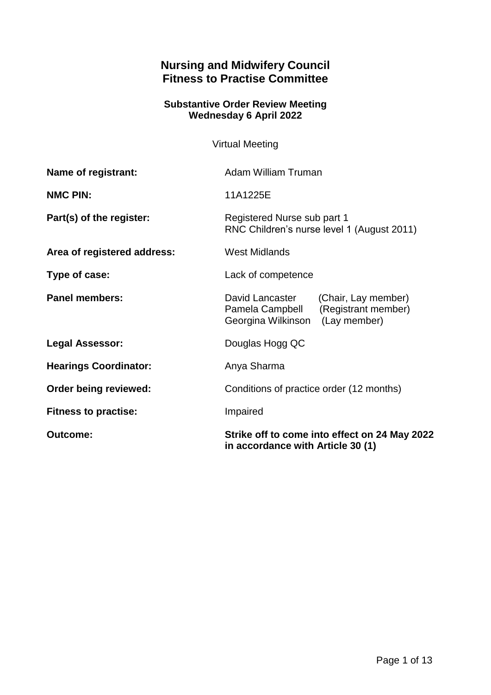# **Nursing and Midwifery Council Fitness to Practise Committee**

#### **Substantive Order Review Meeting Wednesday 6 April 2022**

Virtual Meeting

| Name of registrant:          | <b>Adam William Truman</b>                                                                                          |
|------------------------------|---------------------------------------------------------------------------------------------------------------------|
| <b>NMC PIN:</b>              | 11A1225E                                                                                                            |
| Part(s) of the register:     | Registered Nurse sub part 1<br>RNC Children's nurse level 1 (August 2011)                                           |
| Area of registered address:  | <b>West Midlands</b>                                                                                                |
| Type of case:                | Lack of competence                                                                                                  |
| <b>Panel members:</b>        | David Lancaster<br>(Chair, Lay member)<br>(Registrant member)<br>Pamela Campbell<br>Georgina Wilkinson (Lay member) |
| <b>Legal Assessor:</b>       | Douglas Hogg QC                                                                                                     |
| <b>Hearings Coordinator:</b> | Anya Sharma                                                                                                         |
| Order being reviewed:        | Conditions of practice order (12 months)                                                                            |
| <b>Fitness to practise:</b>  | Impaired                                                                                                            |
| <b>Outcome:</b>              | Strike off to come into effect on 24 May 2022<br>in accordance with Article 30 (1)                                  |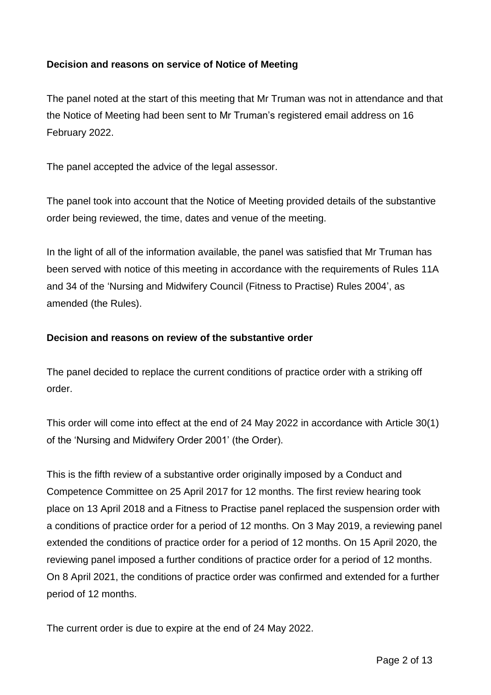### **Decision and reasons on service of Notice of Meeting**

The panel noted at the start of this meeting that Mr Truman was not in attendance and that the Notice of Meeting had been sent to Mr Truman's registered email address on 16 February 2022.

The panel accepted the advice of the legal assessor.

The panel took into account that the Notice of Meeting provided details of the substantive order being reviewed, the time, dates and venue of the meeting.

In the light of all of the information available, the panel was satisfied that Mr Truman has been served with notice of this meeting in accordance with the requirements of Rules 11A and 34 of the 'Nursing and Midwifery Council (Fitness to Practise) Rules 2004', as amended (the Rules).

### **Decision and reasons on review of the substantive order**

The panel decided to replace the current conditions of practice order with a striking off order.

This order will come into effect at the end of 24 May 2022 in accordance with Article 30(1) of the 'Nursing and Midwifery Order 2001' (the Order).

This is the fifth review of a substantive order originally imposed by a Conduct and Competence Committee on 25 April 2017 for 12 months. The first review hearing took place on 13 April 2018 and a Fitness to Practise panel replaced the suspension order with a conditions of practice order for a period of 12 months. On 3 May 2019, a reviewing panel extended the conditions of practice order for a period of 12 months. On 15 April 2020, the reviewing panel imposed a further conditions of practice order for a period of 12 months. On 8 April 2021, the conditions of practice order was confirmed and extended for a further period of 12 months.

The current order is due to expire at the end of 24 May 2022.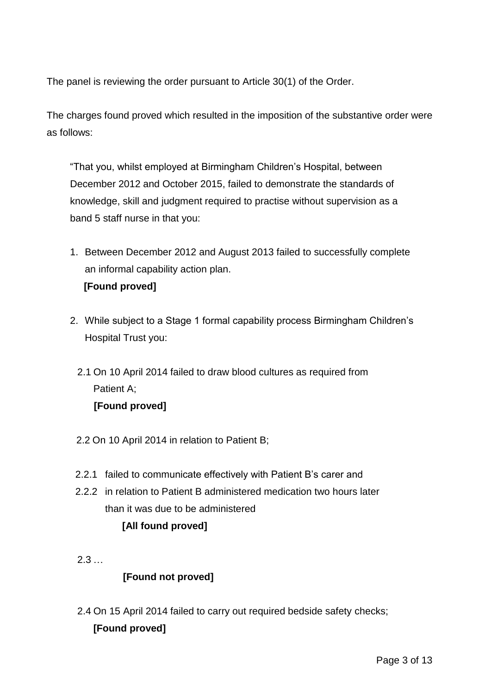The panel is reviewing the order pursuant to Article 30(1) of the Order.

The charges found proved which resulted in the imposition of the substantive order were as follows:

"That you, whilst employed at Birmingham Children's Hospital, between December 2012 and October 2015, failed to demonstrate the standards of knowledge, skill and judgment required to practise without supervision as a band 5 staff nurse in that you:

- 1. Between December 2012 and August 2013 failed to successfully complete an informal capability action plan.  **[Found proved]**
- 2. While subject to a Stage 1 formal capability process Birmingham Children's Hospital Trust you:
	- 2.1 On 10 April 2014 failed to draw blood cultures as required from Patient A; **[Found proved]**
	- 2.2 On 10 April 2014 in relation to Patient B;
	- 2.2.1 failed to communicate effectively with Patient B's carer and
	- 2.2.2 in relation to Patient B administered medication two hours later than it was due to be administered **[All found proved]**
	- 2.3 …

## **[Found not proved]**

2.4 On 15 April 2014 failed to carry out required bedside safety checks; **[Found proved]**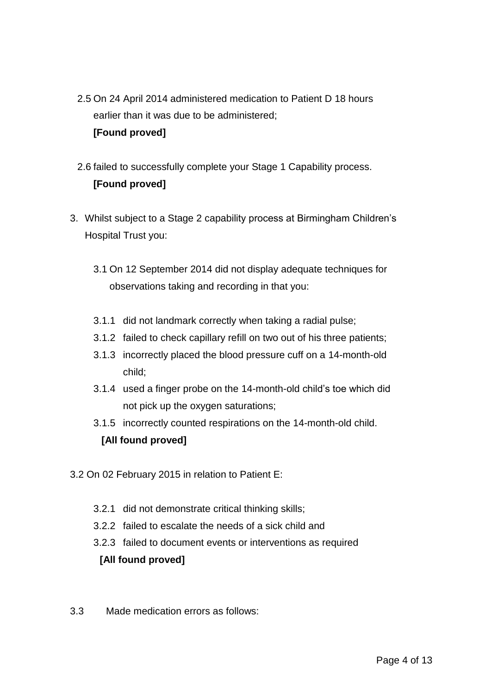2.5 On 24 April 2014 administered medication to Patient D 18 hours earlier than it was due to be administered;

### **[Found proved]**

- 2.6 failed to successfully complete your Stage 1 Capability process. **[Found proved]**
- 3. Whilst subject to a Stage 2 capability process at Birmingham Children's Hospital Trust you:
	- 3.1 On 12 September 2014 did not display adequate techniques for observations taking and recording in that you:
	- 3.1.1 did not landmark correctly when taking a radial pulse;
	- 3.1.2 failed to check capillary refill on two out of his three patients;
	- 3.1.3 incorrectly placed the blood pressure cuff on a 14-month-old child;
	- 3.1.4 used a finger probe on the 14-month-old child's toe which did not pick up the oxygen saturations;
	- 3.1.5 incorrectly counted respirations on the 14-month-old child.

## **[All found proved]**

- 3.2 On 02 February 2015 in relation to Patient E:
	- 3.2.1 did not demonstrate critical thinking skills;
	- 3.2.2 failed to escalate the needs of a sick child and
	- 3.2.3 failed to document events or interventions as required

## **[All found proved]**

3.3 Made medication errors as follows: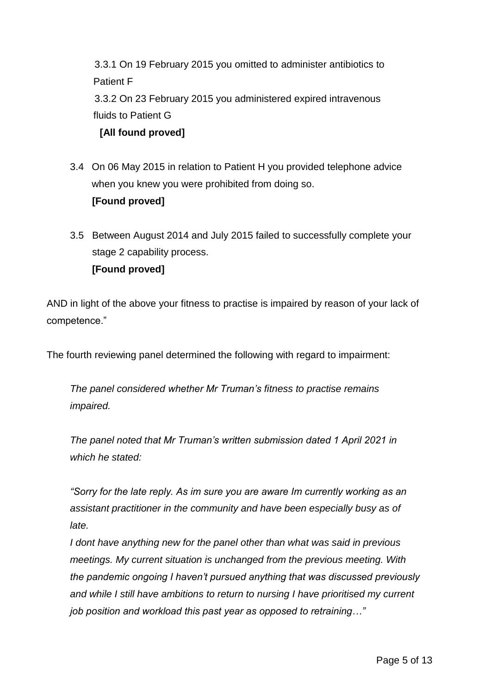3.3.1 On 19 February 2015 you omitted to administer antibiotics to Patient F 3.3.2 On 23 February 2015 you administered expired intravenous fluids to Patient G

**[All found proved]**

- 3.4 On 06 May 2015 in relation to Patient H you provided telephone advice when you knew you were prohibited from doing so.  **[Found proved]**
- 3.5 Between August 2014 and July 2015 failed to successfully complete your stage 2 capability process.  **[Found proved]**

AND in light of the above your fitness to practise is impaired by reason of your lack of competence."

The fourth reviewing panel determined the following with regard to impairment:

*The panel considered whether Mr Truman's fitness to practise remains impaired.* 

*The panel noted that Mr Truman's written submission dated 1 April 2021 in which he stated:* 

*"Sorry for the late reply. As im sure you are aware Im currently working as an assistant practitioner in the community and have been especially busy as of late.*

*I dont have anything new for the panel other than what was said in previous meetings. My current situation is unchanged from the previous meeting. With the pandemic ongoing I haven't pursued anything that was discussed previously and while I still have ambitions to return to nursing I have prioritised my current job position and workload this past year as opposed to retraining…"*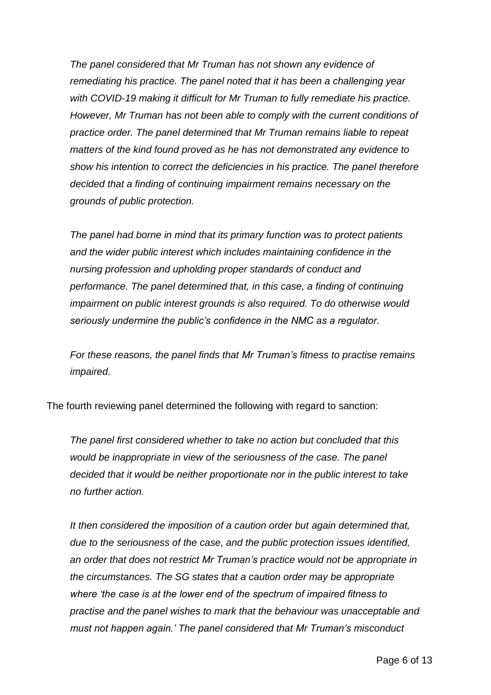*The panel considered that Mr Truman has not shown any evidence of remediating his practice. The panel noted that it has been a challenging year with COVID-19 making it difficult for Mr Truman to fully remediate his practice. However, Mr Truman has not been able to comply with the current conditions of practice order. The panel determined that Mr Truman remains liable to repeat matters of the kind found proved as he has not demonstrated any evidence to show his intention to correct the deficiencies in his practice. The panel therefore decided that a finding of continuing impairment remains necessary on the grounds of public protection.* 

*The panel had borne in mind that its primary function was to protect patients and the wider public interest which includes maintaining confidence in the nursing profession and upholding proper standards of conduct and performance. The panel determined that, in this case, a finding of continuing impairment on public interest grounds is also required. To do otherwise would seriously undermine the public's confidence in the NMC as a regulator.* 

*For these reasons, the panel finds that Mr Truman's fitness to practise remains impaired.* 

The fourth reviewing panel determined the following with regard to sanction:

*The panel first considered whether to take no action but concluded that this would be inappropriate in view of the seriousness of the case. The panel decided that it would be neither proportionate nor in the public interest to take no further action.* 

*It then considered the imposition of a caution order but again determined that, due to the seriousness of the case, and the public protection issues identified, an order that does not restrict Mr Truman's practice would not be appropriate in the circumstances. The SG states that a caution order may be appropriate where 'the case is at the lower end of the spectrum of impaired fitness to practise and the panel wishes to mark that the behaviour was unacceptable and must not happen again.' The panel considered that Mr Truman's misconduct*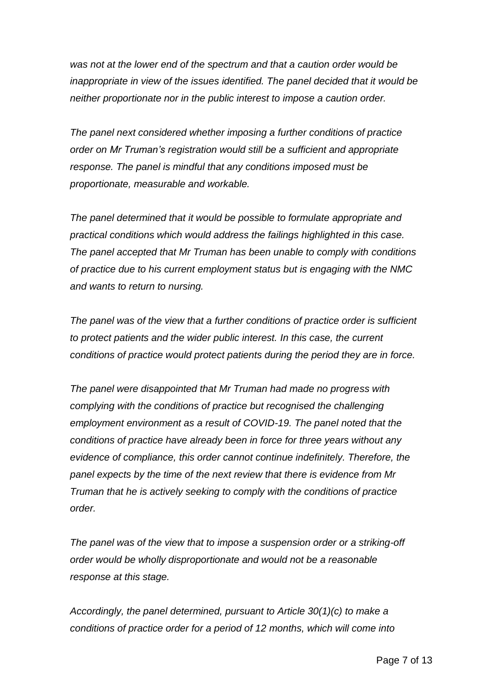*was not at the lower end of the spectrum and that a caution order would be inappropriate in view of the issues identified. The panel decided that it would be neither proportionate nor in the public interest to impose a caution order.*

*The panel next considered whether imposing a further conditions of practice order on Mr Truman's registration would still be a sufficient and appropriate response. The panel is mindful that any conditions imposed must be proportionate, measurable and workable.* 

*The panel determined that it would be possible to formulate appropriate and practical conditions which would address the failings highlighted in this case. The panel accepted that Mr Truman has been unable to comply with conditions of practice due to his current employment status but is engaging with the NMC and wants to return to nursing.* 

*The panel was of the view that a further conditions of practice order is sufficient to protect patients and the wider public interest. In this case, the current conditions of practice would protect patients during the period they are in force.*

*The panel were disappointed that Mr Truman had made no progress with complying with the conditions of practice but recognised the challenging employment environment as a result of COVID-19. The panel noted that the conditions of practice have already been in force for three years without any evidence of compliance, this order cannot continue indefinitely. Therefore, the panel expects by the time of the next review that there is evidence from Mr Truman that he is actively seeking to comply with the conditions of practice order.* 

*The panel was of the view that to impose a suspension order or a striking-off order would be wholly disproportionate and would not be a reasonable response at this stage.* 

*Accordingly, the panel determined, pursuant to Article 30(1)(c) to make a conditions of practice order for a period of 12 months, which will come into*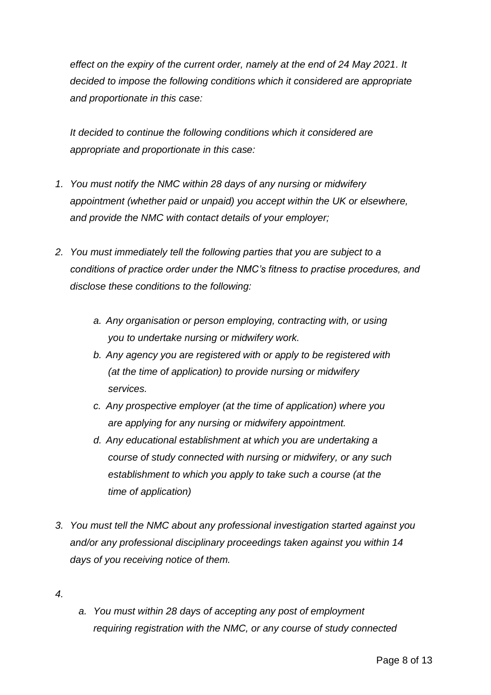*effect on the expiry of the current order, namely at the end of 24 May 2021. It decided to impose the following conditions which it considered are appropriate and proportionate in this case:*

*It decided to continue the following conditions which it considered are appropriate and proportionate in this case:*

- *1. You must notify the NMC within 28 days of any nursing or midwifery appointment (whether paid or unpaid) you accept within the UK or elsewhere, and provide the NMC with contact details of your employer;*
- *2. You must immediately tell the following parties that you are subject to a conditions of practice order under the NMC's fitness to practise procedures, and disclose these conditions to the following:* 
	- *a. Any organisation or person employing, contracting with, or using you to undertake nursing or midwifery work.*
	- *b. Any agency you are registered with or apply to be registered with (at the time of application) to provide nursing or midwifery services.*
	- *c. Any prospective employer (at the time of application) where you are applying for any nursing or midwifery appointment.*
	- *d. Any educational establishment at which you are undertaking a course of study connected with nursing or midwifery, or any such establishment to which you apply to take such a course (at the time of application)*
- *3. You must tell the NMC about any professional investigation started against you and/or any professional disciplinary proceedings taken against you within 14 days of you receiving notice of them.*
- *4.*
- *a. You must within 28 days of accepting any post of employment requiring registration with the NMC, or any course of study connected*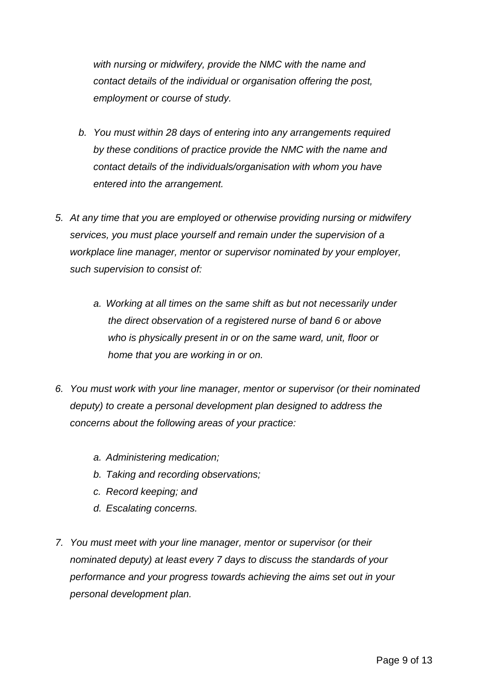*with nursing or midwifery, provide the NMC with the name and contact details of the individual or organisation offering the post, employment or course of study.*

- *b. You must within 28 days of entering into any arrangements required by these conditions of practice provide the NMC with the name and contact details of the individuals/organisation with whom you have entered into the arrangement.*
- *5. At any time that you are employed or otherwise providing nursing or midwifery services, you must place yourself and remain under the supervision of a workplace line manager, mentor or supervisor nominated by your employer, such supervision to consist of:*
	- *a. Working at all times on the same shift as but not necessarily under the direct observation of a registered nurse of band 6 or above who is physically present in or on the same ward, unit, floor or home that you are working in or on.*
- *6. You must work with your line manager, mentor or supervisor (or their nominated deputy) to create a personal development plan designed to address the concerns about the following areas of your practice:*
	- *a. Administering medication;*
	- *b. Taking and recording observations;*
	- *c. Record keeping; and*
	- *d. Escalating concerns.*
- *7. You must meet with your line manager, mentor or supervisor (or their nominated deputy) at least every 7 days to discuss the standards of your performance and your progress towards achieving the aims set out in your personal development plan.*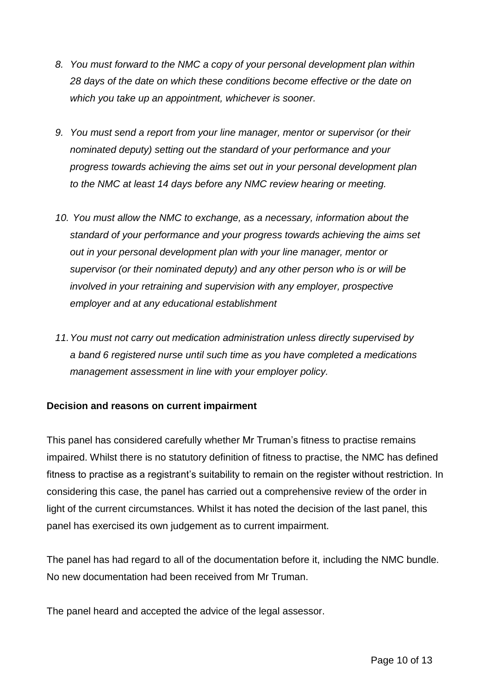- *8. You must forward to the NMC a copy of your personal development plan within 28 days of the date on which these conditions become effective or the date on which you take up an appointment, whichever is sooner.*
- *9. You must send a report from your line manager, mentor or supervisor (or their nominated deputy) setting out the standard of your performance and your progress towards achieving the aims set out in your personal development plan to the NMC at least 14 days before any NMC review hearing or meeting.*
- *10. You must allow the NMC to exchange, as a necessary, information about the standard of your performance and your progress towards achieving the aims set out in your personal development plan with your line manager, mentor or supervisor (or their nominated deputy) and any other person who is or will be involved in your retraining and supervision with any employer, prospective employer and at any educational establishment*
- *11.You must not carry out medication administration unless directly supervised by a band 6 registered nurse until such time as you have completed a medications management assessment in line with your employer policy.*

### **Decision and reasons on current impairment**

This panel has considered carefully whether Mr Truman's fitness to practise remains impaired. Whilst there is no statutory definition of fitness to practise, the NMC has defined fitness to practise as a registrant's suitability to remain on the register without restriction. In considering this case, the panel has carried out a comprehensive review of the order in light of the current circumstances. Whilst it has noted the decision of the last panel, this panel has exercised its own judgement as to current impairment.

The panel has had regard to all of the documentation before it, including the NMC bundle. No new documentation had been received from Mr Truman.

The panel heard and accepted the advice of the legal assessor.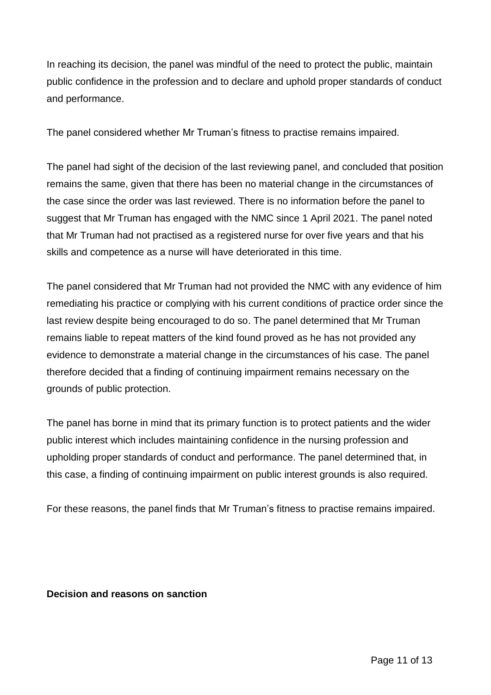In reaching its decision, the panel was mindful of the need to protect the public, maintain public confidence in the profession and to declare and uphold proper standards of conduct and performance.

The panel considered whether Mr Truman's fitness to practise remains impaired.

The panel had sight of the decision of the last reviewing panel, and concluded that position remains the same, given that there has been no material change in the circumstances of the case since the order was last reviewed. There is no information before the panel to suggest that Mr Truman has engaged with the NMC since 1 April 2021. The panel noted that Mr Truman had not practised as a registered nurse for over five years and that his skills and competence as a nurse will have deteriorated in this time.

The panel considered that Mr Truman had not provided the NMC with any evidence of him remediating his practice or complying with his current conditions of practice order since the last review despite being encouraged to do so. The panel determined that Mr Truman remains liable to repeat matters of the kind found proved as he has not provided any evidence to demonstrate a material change in the circumstances of his case. The panel therefore decided that a finding of continuing impairment remains necessary on the grounds of public protection.

The panel has borne in mind that its primary function is to protect patients and the wider public interest which includes maintaining confidence in the nursing profession and upholding proper standards of conduct and performance. The panel determined that, in this case, a finding of continuing impairment on public interest grounds is also required.

For these reasons, the panel finds that Mr Truman's fitness to practise remains impaired.

**Decision and reasons on sanction**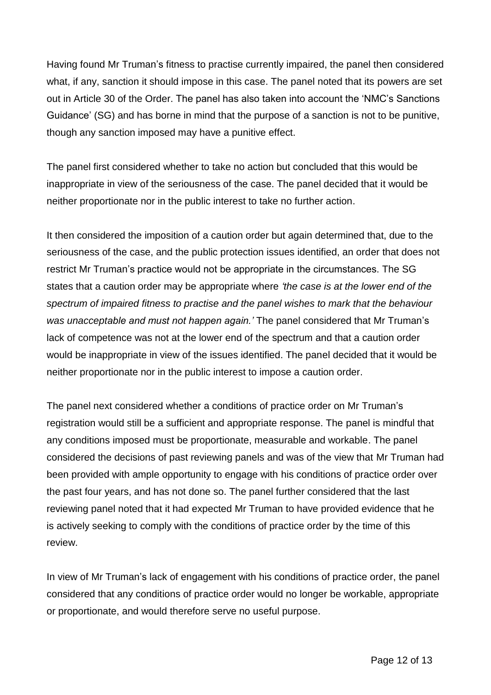Having found Mr Truman's fitness to practise currently impaired, the panel then considered what, if any, sanction it should impose in this case. The panel noted that its powers are set out in Article 30 of the Order. The panel has also taken into account the 'NMC's Sanctions Guidance' (SG) and has borne in mind that the purpose of a sanction is not to be punitive, though any sanction imposed may have a punitive effect.

The panel first considered whether to take no action but concluded that this would be inappropriate in view of the seriousness of the case. The panel decided that it would be neither proportionate nor in the public interest to take no further action.

It then considered the imposition of a caution order but again determined that, due to the seriousness of the case, and the public protection issues identified, an order that does not restrict Mr Truman's practice would not be appropriate in the circumstances. The SG states that a caution order may be appropriate where *'the case is at the lower end of the spectrum of impaired fitness to practise and the panel wishes to mark that the behaviour was unacceptable and must not happen again.'* The panel considered that Mr Truman's lack of competence was not at the lower end of the spectrum and that a caution order would be inappropriate in view of the issues identified. The panel decided that it would be neither proportionate nor in the public interest to impose a caution order.

The panel next considered whether a conditions of practice order on Mr Truman's registration would still be a sufficient and appropriate response. The panel is mindful that any conditions imposed must be proportionate, measurable and workable. The panel considered the decisions of past reviewing panels and was of the view that Mr Truman had been provided with ample opportunity to engage with his conditions of practice order over the past four years, and has not done so. The panel further considered that the last reviewing panel noted that it had expected Mr Truman to have provided evidence that he is actively seeking to comply with the conditions of practice order by the time of this review.

In view of Mr Truman's lack of engagement with his conditions of practice order, the panel considered that any conditions of practice order would no longer be workable, appropriate or proportionate, and would therefore serve no useful purpose.